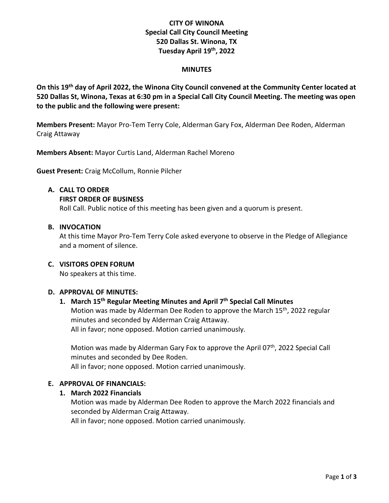# **CITY OF WINONA Special Call City Council Meeting 520 Dallas St. Winona, TX Tuesday April 19 th , 2022**

#### **MINUTES**

**On this 19 th day of April 2022, the Winona City Council convened at the Community Center located at 520 Dallas St, Winona, Texas at 6:30 pm in a Special Call City Council Meeting. The meeting was open to the public and the following were present:**

**Members Present:** Mayor Pro-Tem Terry Cole, Alderman Gary Fox, Alderman Dee Roden, Alderman Craig Attaway

**Members Absent:** Mayor Curtis Land, Alderman Rachel Moreno

**Guest Present:** Craig McCollum, Ronnie Pilcher

#### **A. CALL TO ORDER**

#### **FIRST ORDER OF BUSINESS**

Roll Call. Public notice of this meeting has been given and a quorum is present.

## **B. INVOCATION**

At this time Mayor Pro-Tem Terry Cole asked everyone to observe in the Pledge of Allegiance and a moment of silence.

## **C. VISITORS OPEN FORUM**

No speakers at this time.

## **D. APPROVAL OF MINUTES:**

## **1. March 15 th Regular Meeting Minutes and April 7th Special Call Minutes**

Motion was made by Alderman Dee Roden to approve the March 15<sup>th</sup>, 2022 regular minutes and seconded by Alderman Craig Attaway. All in favor; none opposed. Motion carried unanimously.

Motion was made by Alderman Gary Fox to approve the April 07<sup>th</sup>, 2022 Special Call minutes and seconded by Dee Roden.

All in favor; none opposed. Motion carried unanimously.

## **E. APPROVAL OF FINANCIALS:**

## **1. March 2022 Financials**

Motion was made by Alderman Dee Roden to approve the March 2022 financials and seconded by Alderman Craig Attaway.

All in favor; none opposed. Motion carried unanimously.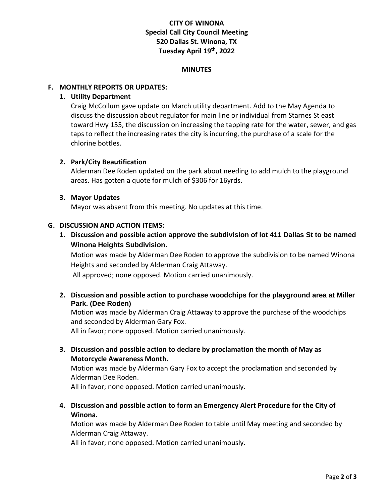# **CITY OF WINONA Special Call City Council Meeting 520 Dallas St. Winona, TX Tuesday April 19 th , 2022**

#### **MINUTES**

## **F. MONTHLY REPORTS OR UPDATES:**

## **1. Utility Department**

Craig McCollum gave update on March utility department. Add to the May Agenda to discuss the discussion about regulator for main line or individual from Starnes St east toward Hwy 155, the discussion on increasing the tapping rate for the water, sewer, and gas taps to reflect the increasing rates the city is incurring, the purchase of a scale for the chlorine bottles.

## **2. Park/City Beautification**

Alderman Dee Roden updated on the park about needing to add mulch to the playground areas. Has gotten a quote for mulch of \$306 for 16yrds.

## **3. Mayor Updates**

Mayor was absent from this meeting. No updates at this time.

## **G. DISCUSSION AND ACTION ITEMS:**

**1. Discussion and possible action approve the subdivision of lot 411 Dallas St to be named Winona Heights Subdivision.**

Motion was made by Alderman Dee Roden to approve the subdivision to be named Winona Heights and seconded by Alderman Craig Attaway.

All approved; none opposed. Motion carried unanimously.

## **2. Discussion and possible action to purchase woodchips for the playground area at Miller Park. (Dee Roden)**

Motion was made by Alderman Craig Attaway to approve the purchase of the woodchips and seconded by Alderman Gary Fox.

All in favor; none opposed. Motion carried unanimously.

**3. Discussion and possible action to declare by proclamation the month of May as Motorcycle Awareness Month.**

Motion was made by Alderman Gary Fox to accept the proclamation and seconded by Alderman Dee Roden.

All in favor; none opposed. Motion carried unanimously.

**4. Discussion and possible action to form an Emergency Alert Procedure for the City of Winona.**

Motion was made by Alderman Dee Roden to table until May meeting and seconded by Alderman Craig Attaway.

All in favor; none opposed. Motion carried unanimously.